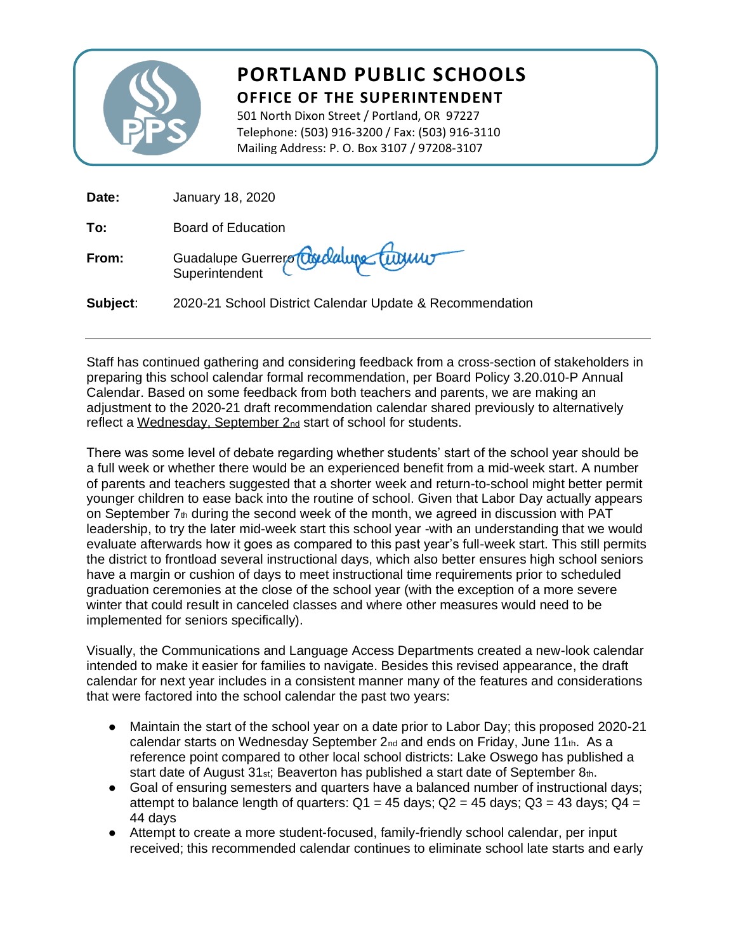

## **PORTLAND PUBLIC SCHOOLS OFFICE OF THE SUPERINTENDENT**

501 North Dixon Street / Portland, OR 97227 Telephone: (503) 916-3200 / Fax: (503) 916-3110 Mailing Address: P. O. Box 3107 / 97208-3107

| Date:    | January 18, 2020                                         |
|----------|----------------------------------------------------------|
| To:      | <b>Board of Education</b>                                |
| From:    | Guadalupe Guerrero Couldaire Currier                     |
| Subject: | 2020-21 School District Calendar Update & Recommendation |

Staff has continued gathering and considering feedback from a cross-section of stakeholders in preparing this school calendar formal recommendation, per Board Policy 3.20.010-P Annual Calendar. Based on some feedback from both teachers and parents, we are making an adjustment to the 2020-21 draft recommendation calendar shared previously to alternatively reflect a Wednesday, September 2nd start of school for students.

There was some level of debate regarding whether students' start of the school year should be a full week or whether there would be an experienced benefit from a mid-week start. A number of parents and teachers suggested that a shorter week and return-to-school might better permit younger children to ease back into the routine of school. Given that Labor Day actually appears on September  $7<sub>th</sub>$  during the second week of the month, we agreed in discussion with PAT leadership, to try the later mid-week start this school year -with an understanding that we would evaluate afterwards how it goes as compared to this past year's full-week start. This still permits the district to frontload several instructional days, which also better ensures high school seniors have a margin or cushion of days to meet instructional time requirements prior to scheduled graduation ceremonies at the close of the school year (with the exception of a more severe winter that could result in canceled classes and where other measures would need to be implemented for seniors specifically).

Visually, the Communications and Language Access Departments created a new-look calendar intended to make it easier for families to navigate. Besides this revised appearance, the draft calendar for next year includes in a consistent manner many of the features and considerations that were factored into the school calendar the past two years:

- Maintain the start of the school year on a date prior to Labor Day; this proposed 2020-21 calendar starts on Wednesday September  $2_{nd}$  and ends on Friday, June 11 $_{th}$ . As a reference point compared to other local school districts: Lake Oswego has published a start date of August 31<sub>st</sub>; Beaverton has published a start date of September 8th.
- Goal of ensuring semesters and quarters have a balanced number of instructional days; attempt to balance length of quarters:  $Q1 = 45$  days;  $Q2 = 45$  days;  $Q3 = 43$  days;  $Q4 =$ 44 days
- Attempt to create a more student-focused, family-friendly school calendar, per input received; this recommended calendar continues to eliminate school late starts and early